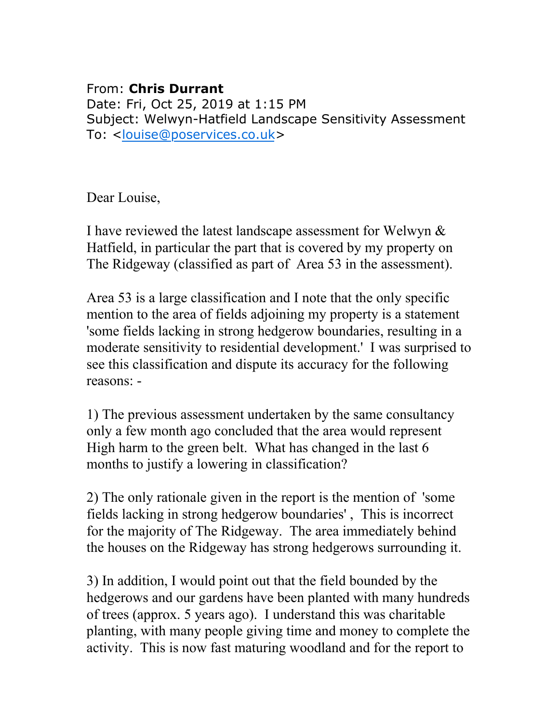## From: **Chris Durrant**

Date: Fri, Oct 25, 2019 at 1:15 PM Subject: Welwyn-Hatfield Landscape Sensitivity Assessment To: < [louise@poservices.co.uk>](mailto:louise@poservices.co.uk)

Dear Louise,

I have reviewed the latest landscape assessment for Welwyn & Hatfield, in particular the part that is covered by my property on The Ridgeway (classified as part of Area 53 in the assessment).

Area 53 is a large classification and I note that the only specific mention to the area of fields adjoining my property is a statement 'some fields lacking in strong hedgerow boundaries, resulting in a moderate sensitivity to residential development.' I was surprised to see this classification and dispute its accuracy for the following reasons: -

1) The previous assessment undertaken by the same consultancy only a few month ago concluded that the area would represent High harm to the green belt. What has changed in the last 6 months to justify a lowering in classification?

2) The only rationale given in the report is the mention of 'some fields lacking in strong hedgerow boundaries' , This is incorrect for the majority of The Ridgeway. The area immediately behind the houses on the Ridgeway has strong hedgerows surrounding it.

3) In addition, I would point out that the field bounded by the hedgerows and our gardens have been planted with many hundreds of trees (approx. 5 years ago). I understand this was charitable planting, with many people giving time and money to complete the activity. This is now fast maturing woodland and for the report to